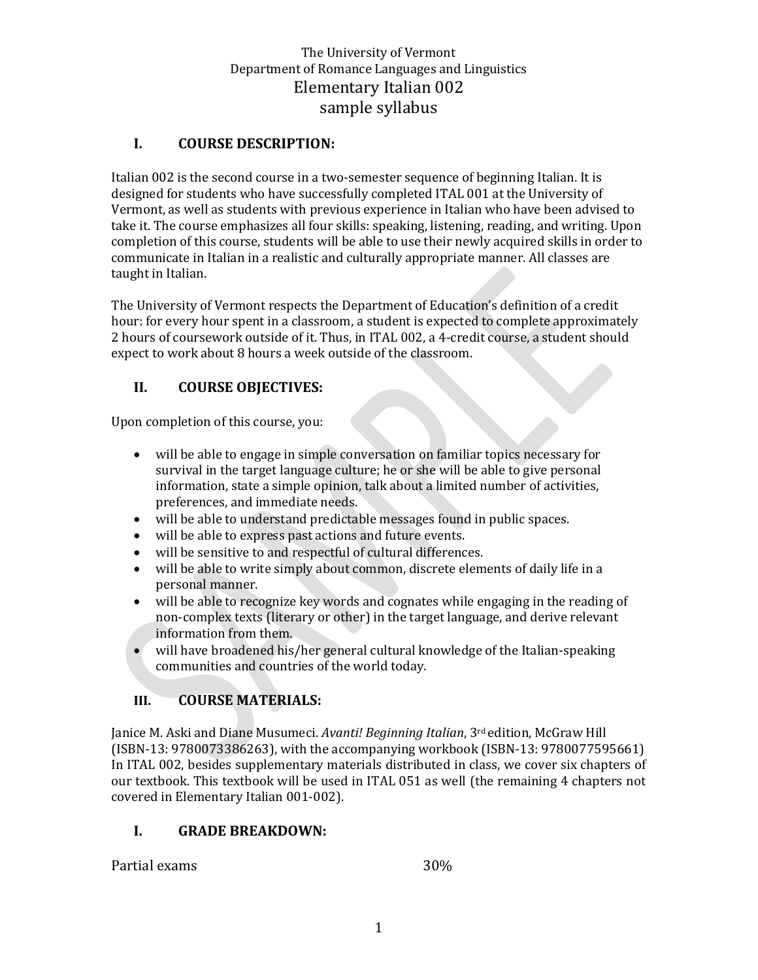# **I. COURSE DESCRIPTION:**

Italian 002 is the second course in a two-semester sequence of beginning Italian. It is designed for students who have successfully completed ITAL 001 at the University of Vermont, as well as students with previous experience in Italian who have been advised to take it. The course emphasizes all four skills: speaking, listening, reading, and writing. Upon completion of this course, students will be able to use their newly acquired skills in order to communicate in Italian in a realistic and culturally appropriate manner. All classes are taught in Italian.

The University of Vermont respects the Department of Education's definition of a credit hour: for every hour spent in a classroom, a student is expected to complete approximately 2 hours of coursework outside of it. Thus, in ITAL 002, a 4-credit course, a student should expect to work about 8 hours a week outside of the classroom.

# **II. COURSE OBJECTIVES:**

Upon completion of this course, you:

- will be able to engage in simple conversation on familiar topics necessary for survival in the target language culture; he or she will be able to give personal information, state a simple opinion, talk about a limited number of activities, preferences, and immediate needs.
- will be able to understand predictable messages found in public spaces.
- will be able to express past actions and future events.
- will be sensitive to and respectful of cultural differences.
- will be able to write simply about common, discrete elements of daily life in a personal manner.
- will be able to recognize key words and cognates while engaging in the reading of non-complex texts (literary or other) in the target language, and derive relevant information from them.
- will have broadened his/her general cultural knowledge of the Italian-speaking communities and countries of the world today.

## **III. COURSE MATERIALS:**

Janice M. Aski and Diane Musumeci. *Avanti! Beginning Italian*, 3rd edition, McGraw Hill (ISBN-13: 9780073386263), with the accompanying workbook (ISBN-13: 9780077595661) In ITAL 002, besides supplementary materials distributed in class, we cover six chapters of our textbook. This textbook will be used in ITAL 051 as well (the remaining 4 chapters not covered in Elementary Italian 001-002).

## **I. GRADE BREAKDOWN:**

Partial exams 30%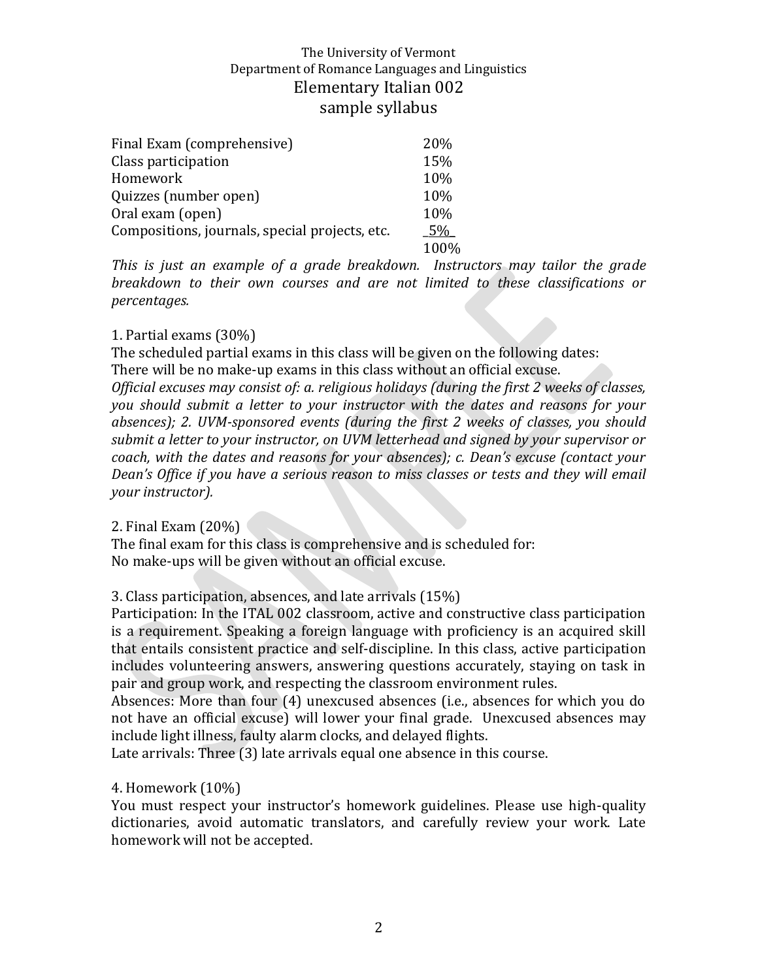| Final Exam (comprehensive)                     | 20%   |
|------------------------------------------------|-------|
| Class participation                            | 15%   |
| Homework                                       | 10%   |
| Quizzes (number open)                          | 10%   |
| Oral exam (open)                               | 10%   |
| Compositions, journals, special projects, etc. | 5%    |
|                                                | 100\% |

*This is just an example of a grade breakdown. Instructors may tailor the grade breakdown to their own courses and are not limited to these classifications or percentages.*

#### 1. Partial exams (30%)

The scheduled partial exams in this class will be given on the following dates:

There will be no make-up exams in this class without an official excuse.

*Official excuses may consist of: a. religious holidays (during the first 2 weeks of classes, you should submit a letter to your instructor with the dates and reasons for your absences); 2. UVM-sponsored events (during the first 2 weeks of classes, you should submit a letter to your instructor, on UVM letterhead and signed by your supervisor or coach, with the dates and reasons for your absences); c. Dean's excuse (contact your Dean's Office if you have a serious reason to miss classes or tests and they will email your instructor).*

#### 2. Final Exam (20%)

The final exam for this class is comprehensive and is scheduled for: No make-ups will be given without an official excuse.

## 3. Class participation, absences, and late arrivals (15%)

Participation: In the ITAL 002 classroom, active and constructive class participation is a requirement. Speaking a foreign language with proficiency is an acquired skill that entails consistent practice and self-discipline. In this class, active participation includes volunteering answers, answering questions accurately, staying on task in pair and group work, and respecting the classroom environment rules.

Absences: More than four (4) unexcused absences (i.e., absences for which you do not have an official excuse) will lower your final grade. Unexcused absences may include light illness, faulty alarm clocks, and delayed flights.

Late arrivals: Three (3) late arrivals equal one absence in this course.

## 4. Homework (10%)

You must respect your instructor's homework guidelines. Please use high-quality dictionaries, avoid automatic translators, and carefully review your work. Late homework will not be accepted.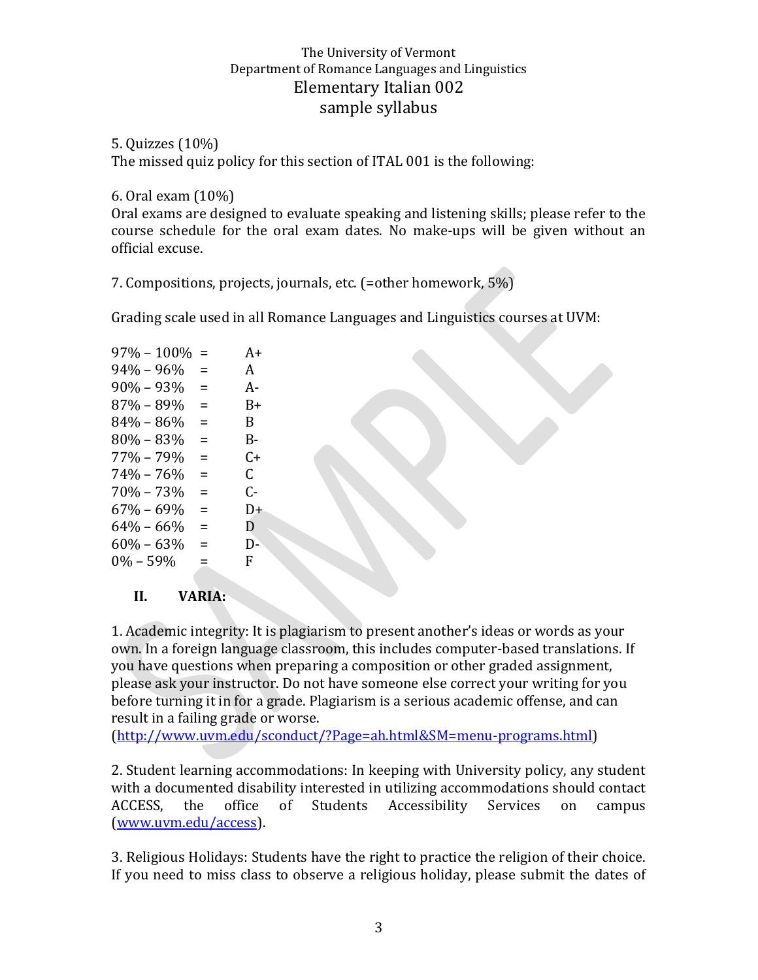# 5. Quizzes (10%)

The missed quiz policy for this section of ITAL 001 is the following:

#### 6. Oral exam (10%)

Oral exams are designed to evaluate speaking and listening skills; please refer to the course schedule for the oral exam dates. No make-ups will be given without an official excuse.

7. Compositions, projects, journals, etc. (=other homework, 5%)

Grading scale used in all Romance Languages and Linguistics courses at UVM:

| $97\% - 100\%$ | $=$      | $A+$ |
|----------------|----------|------|
| 94% – 96%      | $\equiv$ | A    |
| $90\% - 93\%$  | =        | А-   |
| 87% - 89%      | $\equiv$ | B+   |
| 84% – 86%      | $\equiv$ | B    |
| $80\% - 83\%$  | $\equiv$ | B-   |
| $77\% - 79\%$  | $\equiv$ | C+   |
| $74\% - 76\%$  | =        | C.   |
| $70\% - 73\%$  | $=$      | ር-   |
| $67\% - 69\%$  | =        | D+   |
| $64\% - 66\%$  | =        | D    |
| $60\% - 63\%$  | =        | D-   |
| $0\% - 59\%$   | Ξ        | F.   |
|                |          |      |

## **II. VARIA:**

1. Academic integrity: It is plagiarism to present another's ideas or words as your own. In a foreign language classroom, this includes computer-based translations. If you have questions when preparing a composition or other graded assignment, please ask your instructor. Do not have someone else correct your writing for you before turning it in for a grade. Plagiarism is a serious academic offense, and can result in a failing grade or worse.

[\(http://www.uvm.edu/sconduct/?Page=ah.html&SM=menu-programs.html\)](http://www.uvm.edu/sconduct/?Page=ah.html&SM=menu-programs.html)

2. Student learning accommodations: In keeping with University policy, any student with a documented disability interested in utilizing accommodations should contact ACCESS, the office of Students Accessibility Services on campus [\(www.uvm.edu/access\)](http://www.uvm.edu/access).

3. Religious Holidays: Students have the right to practice the religion of their choice. If you need to miss class to observe a religious holiday, please submit the dates of